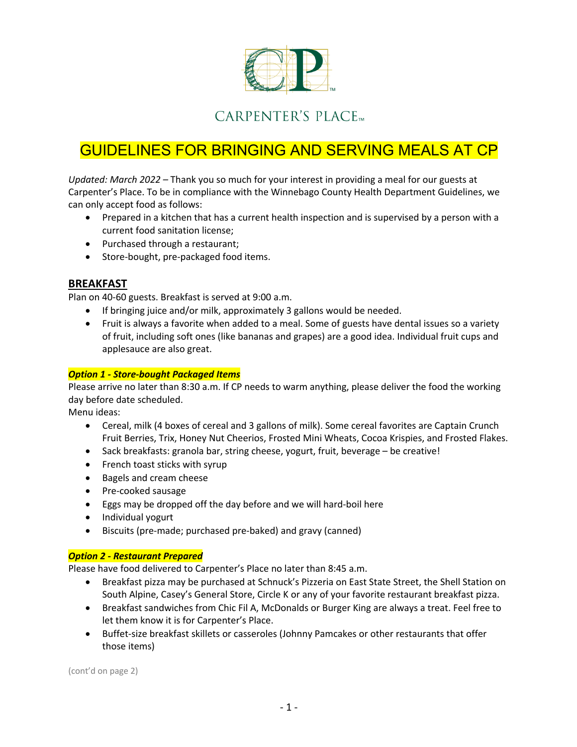

## CARPENTER'S PLACE<sub>TM</sub>

# GUIDELINES FOR BRINGING AND SERVING MEALS AT CP

*Updated: March 2022 –* Thank you so much for your interest in providing a meal for our guests at Carpenter's Place. To be in compliance with the Winnebago County Health Department Guidelines, we can only accept food as follows:

- Prepared in a kitchen that has a current health inspection and is supervised by a person with a current food sanitation license;
- Purchased through a restaurant;
- Store-bought, pre-packaged food items.

### **BREAKFAST**

Plan on 40-60 guests. Breakfast is served at 9:00 a.m.

- If bringing juice and/or milk, approximately 3 gallons would be needed.
- Fruit is always a favorite when added to a meal. Some of guests have dental issues so a variety of fruit, including soft ones (like bananas and grapes) are a good idea. Individual fruit cups and applesauce are also great.

#### *Option 1 - Store-bought Packaged Items*

Please arrive no later than 8:30 a.m. If CP needs to warm anything, please deliver the food the working day before date scheduled.

Menu ideas:

- Cereal, milk (4 boxes of cereal and 3 gallons of milk). Some cereal favorites are Captain Crunch Fruit Berries, Trix, Honey Nut Cheerios, Frosted Mini Wheats, Cocoa Krispies, and Frosted Flakes.
- Sack breakfasts: granola bar, string cheese, yogurt, fruit, beverage be creative!
- French toast sticks with syrup
- Bagels and cream cheese
- Pre-cooked sausage
- Eggs may be dropped off the day before and we will hard-boil here
- Individual yogurt
- Biscuits (pre-made; purchased pre-baked) and gravy (canned)

#### *Option 2 - Restaurant Prepared*

Please have food delivered to Carpenter's Place no later than 8:45 a.m.

- Breakfast pizza may be purchased at Schnuck's Pizzeria on East State Street, the Shell Station on South Alpine, Casey's General Store, Circle K or any of your favorite restaurant breakfast pizza.
- Breakfast sandwiches from Chic Fil A, McDonalds or Burger King are always a treat. Feel free to let them know it is for Carpenter's Place.
- Buffet-size breakfast skillets or casseroles (Johnny Pamcakes or other restaurants that offer those items)

(cont'd on page 2)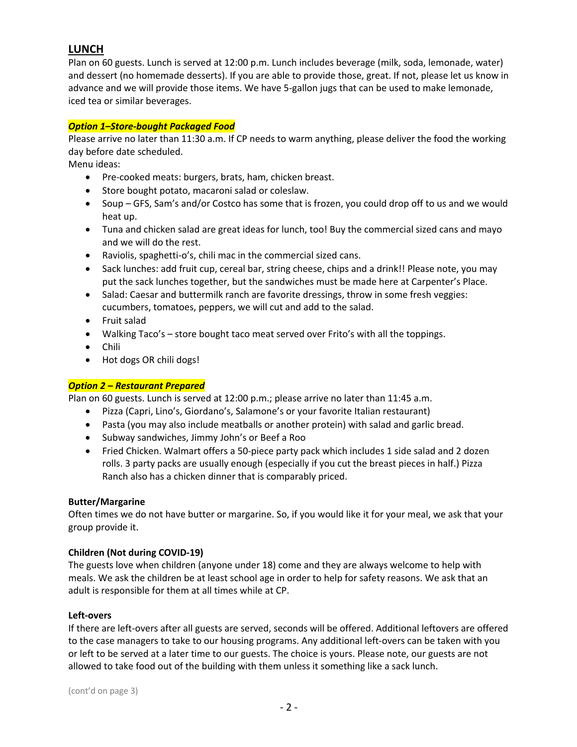## **LUNCH**

Plan on 60 guests. Lunch is served at 12:00 p.m. Lunch includes beverage (milk, soda, lemonade, water) and dessert (no homemade desserts). If you are able to provide those, great. If not, please let us know in advance and we will provide those items. We have 5-gallon jugs that can be used to make lemonade, iced tea or similar beverages.

#### *Option 1–Store-bought Packaged Food*

Please arrive no later than 11:30 a.m. If CP needs to warm anything, please deliver the food the working day before date scheduled.

Menu ideas:

- Pre-cooked meats: burgers, brats, ham, chicken breast.
- Store bought potato, macaroni salad or coleslaw.
- Soup GFS, Sam's and/or Costco has some that is frozen, you could drop off to us and we would heat up.
- Tuna and chicken salad are great ideas for lunch, too! Buy the commercial sized cans and mayo and we will do the rest.
- Raviolis, spaghetti-o's, chili mac in the commercial sized cans.
- Sack lunches: add fruit cup, cereal bar, string cheese, chips and a drink!! Please note, you may put the sack lunches together, but the sandwiches must be made here at Carpenter's Place.
- Salad: Caesar and buttermilk ranch are favorite dressings, throw in some fresh veggies: cucumbers, tomatoes, peppers, we will cut and add to the salad.
- Fruit salad
- Walking Taco's store bought taco meat served over Frito's with all the toppings.
- Chili
- Hot dogs OR chili dogs!

#### *Option 2 – Restaurant Prepared*

Plan on 60 guests. Lunch is served at 12:00 p.m.; please arrive no later than 11:45 a.m.

- Pizza (Capri, Lino's, Giordano's, Salamone's or your favorite Italian restaurant)
- Pasta (you may also include meatballs or another protein) with salad and garlic bread.
- Subway sandwiches, Jimmy John's or Beef a Roo
- Fried Chicken. Walmart offers a 50-piece party pack which includes 1 side salad and 2 dozen rolls. 3 party packs are usually enough (especially if you cut the breast pieces in half.) Pizza Ranch also has a chicken dinner that is comparably priced.

#### **Butter/Margarine**

Often times we do not have butter or margarine. So, if you would like it for your meal, we ask that your group provide it.

#### **Children (Not during COVID-19)**

The guests love when children (anyone under 18) come and they are always welcome to help with meals. We ask the children be at least school age in order to help for safety reasons. We ask that an adult is responsible for them at all times while at CP.

#### **Left-overs**

If there are left-overs after all guests are served, seconds will be offered. Additional leftovers are offered to the case managers to take to our housing programs. Any additional left-overs can be taken with you or left to be served at a later time to our guests. The choice is yours. Please note, our guests are not allowed to take food out of the building with them unless it something like a sack lunch.

(cont'd on page 3)